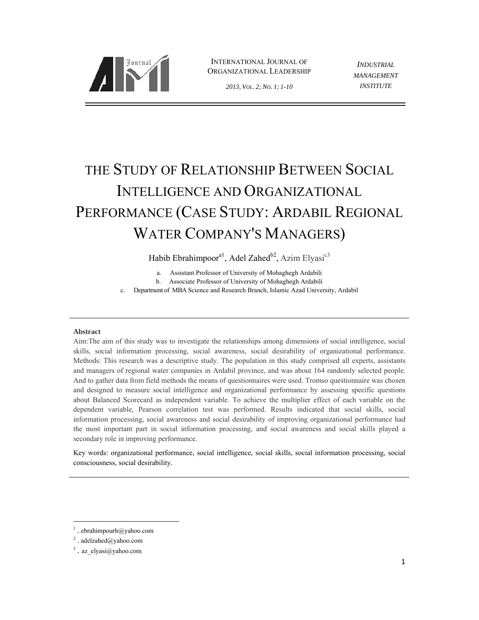

INTERNATIONAL JOURNAL OF ORGANIZATIONAL LEADERSHIP

*MANAGEMENT INSTITUTE*

*INDUSTRIAL* 

# THE STUDY OF RELATIONSHIP BETWEEN SOCIAL INTELLIGENCE AND ORGANIZATIONAL PERFORMANCE (CASE STUDY: ARDABIL REGIONAL WATER COMPANY'S MANAGERS)

Habib Ebrahimpoor<sup>a1</sup>, Adel Zahed<sup>b2</sup>, Azim Elyasi<sup>c3</sup>

a. Assistant Professor of University of Mohaghegh Ardabili

b. Associate Professor of University of Mohaghegh Ardabili

c. Department of MBA Science and Research Branch, Islamic Azad University, Ardabil

## **Abstract**

Aim:The aim of this study was to investigate the relationships among dimensions of social intelligence, social skills, social information processing, social awareness, social desirability of organizational performance. Methods: This research was a descriptive study. The population in this study comprised all experts, assistants and managers of regional water companies in Ardabil province, and was about 164 randomly selected people. And to gather data from field methods the means of questionnaires were used. Tromso questionnaire was chosen and designed to measure social intelligence and organizational performance by assessing specific questions about Balanced Scorecard as independent variable. To achieve the multiplier effect of each variable on the dependent variable, Pearson correlation test was performed. Results indicated that social skills, social information processing, social awareness and social desirability of improving organizational performance had the most important part in social information processing, and social awareness and social skills played a secondary role in improving performance.

Key words: organizational performance, social intelligence, social skills, social information processing, social consciousness, social desirability.

 $\frac{1}{1}$ . ebrahimpourh@yahoo.com

<sup>2</sup> . adelzahed@yahoo.com

 $3$ . az elyasi@yahoo.com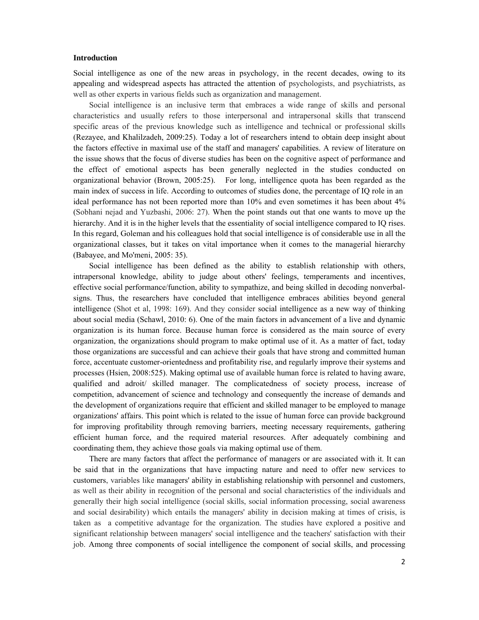#### **Introduction**

Social intelligence as one of the new areas in psychology, in the recent decades, owing to its appealing and widespread aspects has attracted the attention of psychologists, and psychiatrists, as well as other experts in various fields such as organization and management.

Social intelligence is an inclusive term that embraces a wide range of skills and personal characteristics and usually refers to those interpersonal and intrapersonal skills that transcend specific areas of the previous knowledge such as intelligence and technical or professional skills (Rezayee, and Khalilzadeh, 2009:25). Today a lot of researchers intend to obtain deep insight about the factors effective in maximal use of the staff and managers' capabilities. A review of literature on the issue shows that the focus of diverse studies has been on the cognitive aspect of performance and the effect of emotional aspects has been generally neglected in the studies conducted on organizational behavior (Brown, 2005:25). For long, intelligence quota has been regarded as the main index of success in life. According to outcomes of studies done, the percentage of IQ role in an ideal performance has not been reported more than 10% and even sometimes it has been about 4% (Sobhani nejad and Yuzbashi, 2006: 27). When the point stands out that one wants to move up the hierarchy. And it is in the higher levels that the essentiality of social intelligence compared to IQ rises. In this regard, Goleman and his colleagues hold that social intelligence is of considerable use in all the organizational classes, but it takes on vital importance when it comes to the managerial hierarchy (Babayee, and Mo'meni, 2005: 35).

Social intelligence has been defined as the ability to establish relationship with others, intrapersonal knowledge, ability to judge about others' feelings, temperaments and incentives, effective social performance/function, ability to sympathize, and being skilled in decoding nonverbalsigns. Thus, the researchers have concluded that intelligence embraces abilities beyond general intelligence (Shot et al, 1998: 169). And they consider social intelligence as a new way of thinking about social media (Schawl, 2010: 6). One of the main factors in advancement of a live and dynamic organization is its human force. Because human force is considered as the main source of every organization, the organizations should program to make optimal use of it. As a matter of fact, today those organizations are successful and can achieve their goals that have strong and committed human force, accentuate customer-orientedness and profitability rise, and regularly improve their systems and processes (Hsien, 2008:525). Making optimal use of available human force is related to having aware, qualified and adroit/ skilled manager. The complicatedness of society process, increase of competition, advancement of science and technology and consequently the increase of demands and the development of organizations require that efficient and skilled manager to be employed to manage organizations' affairs. This point which is related to the issue of human force can provide background for improving profitability through removing barriers, meeting necessary requirements, gathering efficient human force, and the required material resources. After adequately combining and coordinating them, they achieve those goals via making optimal use of them.

There are many factors that affect the performance of managers or are associated with it. It can be said that in the organizations that have impacting nature and need to offer new services to customers, variables like managers' ability in establishing relationship with personnel and customers, as well as their ability in recognition of the personal and social characteristics of the individuals and generally their high social intelligence (social skills, social information processing, social awareness and social desirability) which entails the managers' ability in decision making at times of crisis, is taken as a competitive advantage for the organization. The studies have explored a positive and significant relationship between managers' social intelligence and the teachers' satisfaction with their job. Among three components of social intelligence the component of social skills, and processing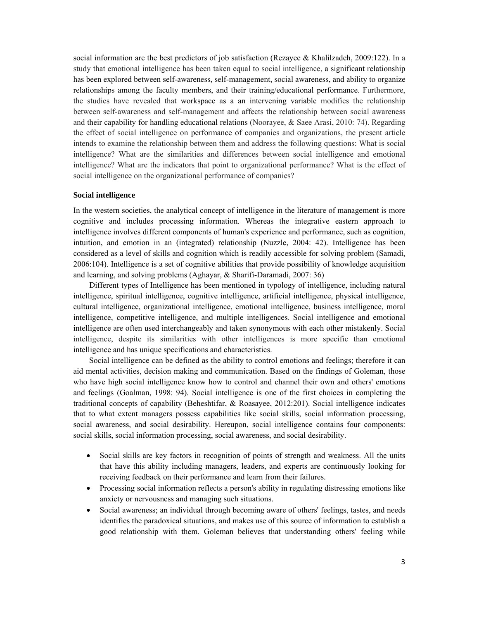social information are the best predictors of job satisfaction (Rezayee & Khalilzadeh, 2009:122). In a study that emotional intelligence has been taken equal to social intelligence, a significant relationship has been explored between self-awareness, self-management, social awareness, and ability to organize relationships among the faculty members, and their training/educational performance. Furthermore, the studies have revealed that workspace as a an intervening variable modifies the relationship between self-awareness and self-management and affects the relationship between social awareness and their capability for handling educational relations (Noorayee, & Saee Arasi, 2010: 74). Regarding the effect of social intelligence on performance of companies and organizations, the present article intends to examine the relationship between them and address the following questions: What is social intelligence? What are the similarities and differences between social intelligence and emotional intelligence? What are the indicators that point to organizational performance? What is the effect of social intelligence on the organizational performance of companies?

#### **Social intelligence**

In the western societies, the analytical concept of intelligence in the literature of management is more cognitive and includes processing information. Whereas the integrative eastern approach to intelligence involves different components of human's experience and performance, such as cognition, intuition, and emotion in an (integrated) relationship (Nuzzle, 2004: 42). Intelligence has been considered as a level of skills and cognition which is readily accessible for solving problem (Samadi, 2006:104). Intelligence is a set of cognitive abilities that provide possibility of knowledge acquisition and learning, and solving problems (Aghayar, & Sharifi-Daramadi, 2007: 36)

Different types of Intelligence has been mentioned in typology of intelligence, including natural intelligence, spiritual intelligence, cognitive intelligence, artificial intelligence, physical intelligence, cultural intelligence, organizational intelligence, emotional intelligence, business intelligence, moral intelligence, competitive intelligence, and multiple intelligences. Social intelligence and emotional intelligence are often used interchangeably and taken synonymous with each other mistakenly. Social intelligence, despite its similarities with other intelligences is more specific than emotional intelligence and has unique specifications and characteristics.

Social intelligence can be defined as the ability to control emotions and feelings; therefore it can aid mental activities, decision making and communication. Based on the findings of Goleman, those who have high social intelligence know how to control and channel their own and others' emotions and feelings (Goalman, 1998: 94). Social intelligence is one of the first choices in completing the traditional concepts of capability (Beheshtifar, & Roasayee, 2012:201). Social intelligence indicates that to what extent managers possess capabilities like social skills, social information processing, social awareness, and social desirability. Hereupon, social intelligence contains four components: social skills, social information processing, social awareness, and social desirability.

- Social skills are key factors in recognition of points of strength and weakness. All the units that have this ability including managers, leaders, and experts are continuously looking for receiving feedback on their performance and learn from their failures.
- Processing social information reflects a person's ability in regulating distressing emotions like anxiety or nervousness and managing such situations.
- Social awareness; an individual through becoming aware of others' feelings, tastes, and needs identifies the paradoxical situations, and makes use of this source of information to establish a good relationship with them. Goleman believes that understanding others' feeling while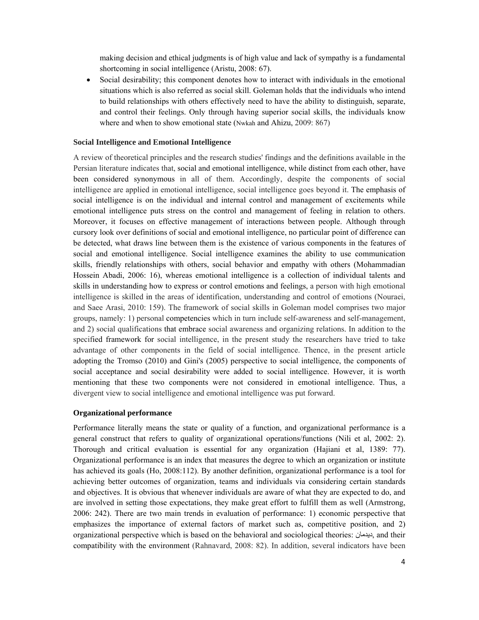making decision and ethical judgments is of high value and lack of sympathy is a fundamental shortcoming in social intelligence (Aristu, 2008: 67).

 Social desirability; this component denotes how to interact with individuals in the emotional situations which is also referred as social skill. Goleman holds that the individuals who intend to build relationships with others effectively need to have the ability to distinguish, separate, and control their feelings. Only through having superior social skills, the individuals know where and when to show emotional state (Nwkah and Ahizu, 2009: 867)

# **Social Intelligence and Emotional Intelligence**

A review of theoretical principles and the research studies' findings and the definitions available in the Persian literature indicates that, social and emotional intelligence, while distinct from each other, have been considered synonymous in all of them. Accordingly, despite the components of social intelligence are applied in emotional intelligence, social intelligence goes beyond it. The emphasis of social intelligence is on the individual and internal control and management of excitements while emotional intelligence puts stress on the control and management of feeling in relation to others. Moreover, it focuses on effective management of interactions between people. Although through cursory look over definitions of social and emotional intelligence, no particular point of difference can be detected, what draws line between them is the existence of various components in the features of social and emotional intelligence. Social intelligence examines the ability to use communication skills, friendly relationships with others, social behavior and empathy with others (Mohammadian Hossein Abadi, 2006: 16), whereas emotional intelligence is a collection of individual talents and skills in understanding how to express or control emotions and feelings, a person with high emotional intelligence is skilled in the areas of identification, understanding and control of emotions (Nouraei, and Saee Arasi, 2010: 159). The framework of social skills in Goleman model comprises two major groups, namely: 1) personal competencies which in turn include self-awareness and self-management, and 2) social qualifications that embrace social awareness and organizing relations. In addition to the specified framework for social intelligence, in the present study the researchers have tried to take advantage of other components in the field of social intelligence. Thence, in the present article adopting the Tromso (2010) and Gini's (2005) perspective to social intelligence, the components of social acceptance and social desirability were added to social intelligence. However, it is worth mentioning that these two components were not considered in emotional intelligence. Thus, a divergent view to social intelligence and emotional intelligence was put forward.

## **Organizational performance**

Performance literally means the state or quality of a function, and organizational performance is a general construct that refers to quality of organizational operations/functions (Nili et al, 2002: 2). Thorough and critical evaluation is essential for any organization (Hajiani et al, 1389: 77). Organizational performance is an index that measures the degree to which an organization or institute has achieved its goals (Ho, 2008:112). By another definition, organizational performance is a tool for achieving better outcomes of organization, teams and individuals via considering certain standards and objectives. It is obvious that whenever individuals are aware of what they are expected to do, and are involved in setting those expectations, they make great effort to fulfill them as well (Armstrong, 2006: 242). There are two main trends in evaluation of performance: 1) economic perspective that emphasizes the importance of external factors of market such as, competitive position, and 2) organizational perspective which is based on the behavioral and sociological theories: ديدمان, and their compatibility with the environment (Rahnavard, 2008: 82). In addition, several indicators have been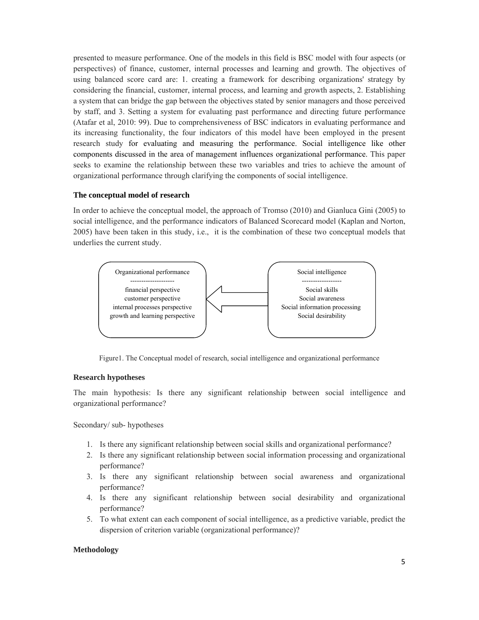presented to measure performance. One of the models in this field is BSC model with four aspects (or perspectives) of finance, customer, internal processes and learning and growth. The objectives of using balanced score card are: 1. creating a framework for describing organizations' strategy by considering the financial, customer, internal process, and learning and growth aspects, 2. Establishing a system that can bridge the gap between the objectives stated by senior managers and those perceived by staff, and 3. Setting a system for evaluating past performance and directing future performance (Atafar et al, 2010: 99). Due to comprehensiveness of BSC indicators in evaluating performance and its increasing functionality, the four indicators of this model have been employed in the present research study for evaluating and measuring the performance. Social intelligence like other components discussed in the area of management influences organizational performance. This paper seeks to examine the relationship between these two variables and tries to achieve the amount of organizational performance through clarifying the components of social intelligence.

# **The conceptual model of research**

In order to achieve the conceptual model, the approach of Tromso (2010) and Gianluca Gini (2005) to social intelligence, and the performance indicators of Balanced Scorecard model (Kaplan and Norton, 2005) have been taken in this study, i.e., it is the combination of these two conceptual models that underlies the current study.



Figure1. The Conceptual model of research, social intelligence and organizational performance

## **Research hypotheses**

The main hypothesis: Is there any significant relationship between social intelligence and organizational performance?

Secondary/ sub- hypotheses

- 1. Is there any significant relationship between social skills and organizational performance?
- 2. Is there any significant relationship between social information processing and organizational performance?
- 3. Is there any significant relationship between social awareness and organizational performance?
- 4. Is there any significant relationship between social desirability and organizational performance?
- 5. To what extent can each component of social intelligence, as a predictive variable, predict the dispersion of criterion variable (organizational performance)?

## **Methodology**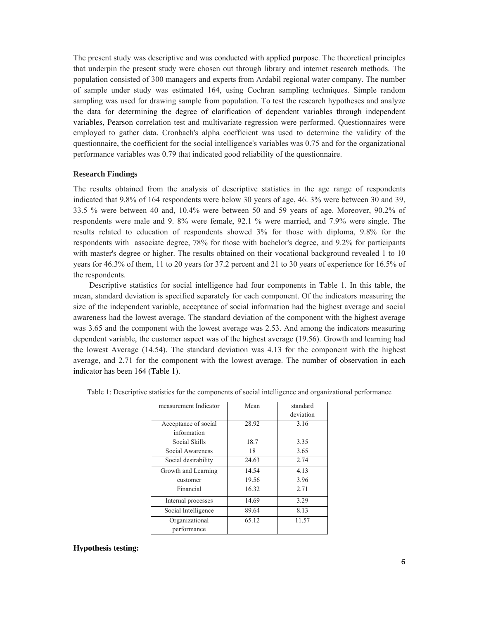The present study was descriptive and was conducted with applied purpose. The theoretical principles that underpin the present study were chosen out through library and internet research methods. The population consisted of 300 managers and experts from Ardabil regional water company. The number of sample under study was estimated 164, using Cochran sampling techniques. Simple random sampling was used for drawing sample from population. To test the research hypotheses and analyze the data for determining the degree of clarification of dependent variables through independent variables, Pearson correlation test and multivariate regression were performed. Questionnaires were employed to gather data. Cronbach's alpha coefficient was used to determine the validity of the questionnaire, the coefficient for the social intelligence's variables was 0.75 and for the organizational performance variables was 0.79 that indicated good reliability of the questionnaire.

## **Research Findings**

The results obtained from the analysis of descriptive statistics in the age range of respondents indicated that 9.8% of 164 respondents were below 30 years of age, 46. 3% were between 30 and 39, 33.5 % were between 40 and, 10.4% were between 50 and 59 years of age. Moreover, 90.2% of respondents were male and 9. 8% were female, 92.1 % were married, and 7.9% were single. The results related to education of respondents showed 3% for those with diploma, 9.8% for the respondents with associate degree, 78% for those with bachelor's degree, and 9.2% for participants with master's degree or higher. The results obtained on their vocational background revealed 1 to 10 years for 46.3% of them, 11 to 20 years for 37.2 percent and 21 to 30 years of experience for 16.5% of the respondents.

Descriptive statistics for social intelligence had four components in Table 1. In this table, the mean, standard deviation is specified separately for each component. Of the indicators measuring the size of the independent variable, acceptance of social information had the highest average and social awareness had the lowest average. The standard deviation of the component with the highest average was 3.65 and the component with the lowest average was 2.53. And among the indicators measuring dependent variable, the customer aspect was of the highest average (19.56). Growth and learning had the lowest Average (14.54). The standard deviation was 4.13 for the component with the highest average, and 2.71 for the component with the lowest average. The number of observation in each indicator has been 164 (Table 1).

| measurement Indicator               | Mean  | standard<br>deviation |
|-------------------------------------|-------|-----------------------|
| Acceptance of social<br>information | 28.92 | 3.16                  |
| Social Skills                       | 18.7  | 3.35                  |
| Social Awareness                    | 18    | 3.65                  |
| Social desirability                 | 24.63 | 2.74                  |
| Growth and Learning                 | 14.54 | 4.13                  |
| customer                            | 19.56 | 3.96                  |
| Financial                           | 16.32 | 2.71                  |
| Internal processes                  | 14.69 | 3.29                  |
| Social Intelligence                 | 89.64 | 8.13                  |
| Organizational<br>performance       | 65.12 | 11.57                 |

Table 1: Descriptive statistics for the components of social intelligence and organizational performance

## **Hypothesis testing:**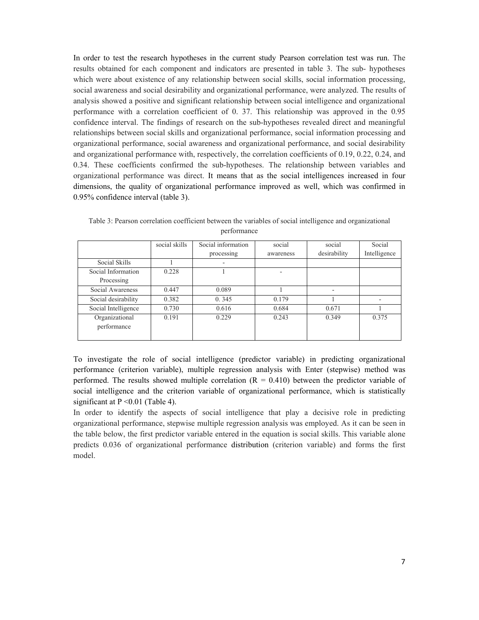In order to test the research hypotheses in the current study Pearson correlation test was run. The results obtained for each component and indicators are presented in table 3. The sub- hypotheses which were about existence of any relationship between social skills, social information processing, social awareness and social desirability and organizational performance, were analyzed. The results of analysis showed a positive and significant relationship between social intelligence and organizational performance with a correlation coefficient of 0. 37. This relationship was approved in the 0.95 confidence interval. The findings of research on the sub-hypotheses revealed direct and meaningful relationships between social skills and organizational performance, social information processing and organizational performance, social awareness and organizational performance, and social desirability and organizational performance with, respectively, the correlation coefficients of 0.19, 0.22, 0.24, and 0.34. These coefficients confirmed the sub-hypotheses. The relationship between variables and organizational performance was direct. It means that as the social intelligences increased in four dimensions, the quality of organizational performance improved as well, which was confirmed in 0.95% confidence interval (table 3).

|                     | social skills | Social information | social    | social       | Social       |
|---------------------|---------------|--------------------|-----------|--------------|--------------|
|                     |               | processing         | awareness | desirability | Intelligence |
| Social Skills       |               |                    |           |              |              |
| Social Information  | 0.228         |                    |           |              |              |
| Processing          |               |                    |           |              |              |
| Social Awareness    | 0.447         | 0.089              |           |              |              |
| Social desirability | 0.382         | 0.345              | 0.179     |              |              |
| Social Intelligence | 0.730         | 0.616              | 0.684     | 0.671        |              |
| Organizational      | 0.191         | 0.229              | 0.243     | 0.349        | 0.375        |
| performance         |               |                    |           |              |              |
|                     |               |                    |           |              |              |

Table 3: Pearson correlation coefficient between the variables of social intelligence and organizational performance

To investigate the role of social intelligence (predictor variable) in predicting organizational performance (criterion variable), multiple regression analysis with Enter (stepwise) method was performed. The results showed multiple correlation  $(R = 0.410)$  between the predictor variable of social intelligence and the criterion variable of organizational performance, which is statistically significant at  $P \le 0.01$  (Table 4).

In order to identify the aspects of social intelligence that play a decisive role in predicting organizational performance, stepwise multiple regression analysis was employed. As it can be seen in the table below, the first predictor variable entered in the equation is social skills. This variable alone predicts 0.036 of organizational performance distribution (criterion variable) and forms the first model.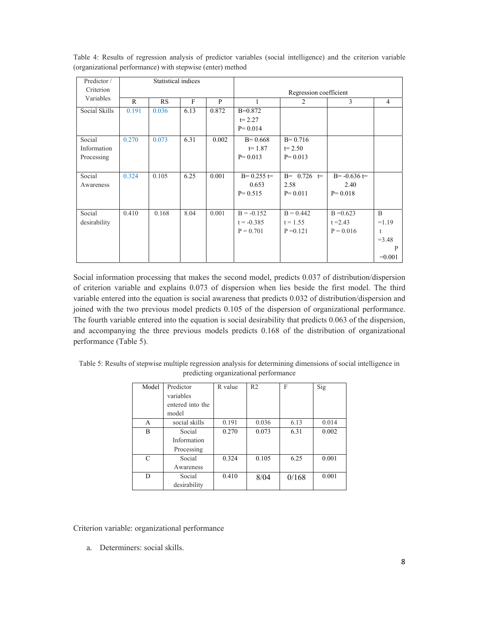| Predictor /   | Statistical indices |       |              |       |                        |               |                |                |
|---------------|---------------------|-------|--------------|-------|------------------------|---------------|----------------|----------------|
| Criterion     |                     |       |              |       | Regression coefficient |               |                |                |
| Variables     | R                   | RS    | $\mathbf{F}$ | P     | 1                      | 2             | 3              | 4              |
| Social Skills | 0.191               | 0.036 | 6.13         | 0.872 | $B=0.872$              |               |                |                |
|               |                     |       |              |       | $t = 2.27$             |               |                |                |
|               |                     |       |              |       | $P = 0.014$            |               |                |                |
| Social        | 0.270               | 0.073 | 6.31         | 0.002 | $B = 0.668$            | $B = 0.716$   |                |                |
| Information   |                     |       |              |       | $t = 1.87$             | $t = 2.50$    |                |                |
| Processing    |                     |       |              |       | $P = 0.013$            | $P = 0.013$   |                |                |
|               |                     |       |              |       |                        |               |                |                |
| Social        | 0.324               | 0.105 | 6.25         | 0.001 | $B = 0.255 =$          | $B = 0.726 =$ | $B = -0.636 =$ |                |
| Awareness     |                     |       |              |       | 0.653                  | 2.58          | 2.40           |                |
|               |                     |       |              |       | $P = 0.515$            | $P = 0.011$   | $P = 0.018$    |                |
|               |                     |       |              |       |                        |               |                |                |
| Social        | 0.410               | 0.168 | 8.04         | 0.001 | $B = -0.152$           | $B = 0.442$   | $B = 0.623$    | $\overline{B}$ |
| desirability  |                     |       |              |       | $t = -0.385$           | $t = 1.55$    | $t = 2.43$     | $=1.19$        |
|               |                     |       |              |       | $P = 0.701$            | $P = 0.121$   | $P = 0.016$    | t              |
|               |                     |       |              |       |                        |               |                | $=3.48$        |
|               |                     |       |              |       |                        |               |                | P              |
|               |                     |       |              |       |                        |               |                | $=0.001$       |

Table 4: Results of regression analysis of predictor variables (social intelligence) and the criterion variable (organizational performance) with stepwise (enter) method

Social information processing that makes the second model, predicts 0.037 of distribution/dispersion of criterion variable and explains 0.073 of dispersion when lies beside the first model. The third variable entered into the equation is social awareness that predicts 0.032 of distribution/dispersion and joined with the two previous model predicts 0.105 of the dispersion of organizational performance. The fourth variable entered into the equation is social desirability that predicts 0.063 of the dispersion, and accompanying the three previous models predicts 0.168 of the distribution of organizational performance (Table 5).

| Table 5: Results of stepwise multiple regression analysis for determining dimensions of social intelligence in |
|----------------------------------------------------------------------------------------------------------------|
| predicting organizational performance                                                                          |

| Model | Predictor        | R value | R <sub>2</sub> | F     | Sig   |  |
|-------|------------------|---------|----------------|-------|-------|--|
|       | variables        |         |                |       |       |  |
|       | entered into the |         |                |       |       |  |
|       | model            |         |                |       |       |  |
| A     | social skills    | 0.191   | 0.036          | 6.13  | 0.014 |  |
| B     | Social           | 0.270   | 0.073          | 6.31  | 0.002 |  |
|       | Information      |         |                |       |       |  |
|       | Processing       |         |                |       |       |  |
| C     | Social           | 0.324   | 0.105          | 6.25  | 0.001 |  |
|       | Awareness        |         |                |       |       |  |
| D     | Social           | 0.410   | 8/04           | 0/168 | 0.001 |  |
|       | desirability     |         |                |       |       |  |

Criterion variable: organizational performance

a. Determiners: social skills.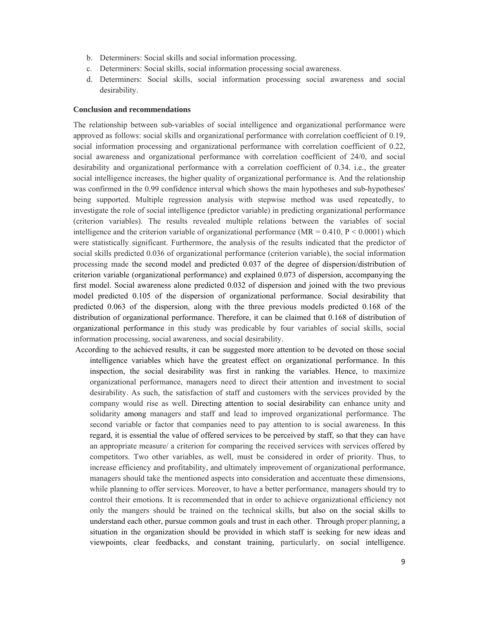- b. Determiners: Social skills and social information processing.
- c. Determiners: Social skills, social information processing social awareness.
- d. Determiners: Social skills, social information processing social awareness and social desirability.

#### **Conclusion and recommendations**

The relationship between sub-variables of social intelligence and organizational performance were approved as follows: social skills and organizational performance with correlation coefficient of 0.19, social information processing and organizational performance with correlation coefficient of 0.22, social awareness and organizational performance with correlation coefficient of 24/0, and social desirability and organizational performance with a correlation coefficient of 0.34. i.e., the greater social intelligence increases, the higher quality of organizational performance is. And the relationship was confirmed in the 0.99 confidence interval which shows the main hypotheses and sub-hypotheses' being supported. Multiple regression analysis with stepwise method was used repeatedly, to investigate the role of social intelligence (predictor variable) in predicting organizational performance (criterion variables). The results revealed multiple relations between the variables of social intelligence and the criterion variable of organizational performance ( $MR = 0.410$ ,  $P < 0.0001$ ) which were statistically significant. Furthermore, the analysis of the results indicated that the predictor of social skills predicted 0.036 of organizational performance (criterion variable), the social information processing made the second model and predicted 0.037 of the degree of dispersion/distribution of criterion variable (organizational performance) and explained 0.073 of dispersion, accompanying the first model. Social awareness alone predicted 0.032 of dispersion and joined with the two previous model predicted 0.105 of the dispersion of organizational performance. Social desirability that predicted 0.063 of the dispersion, along with the three previous models predicted 0.168 of the distribution of organizational performance. Therefore, it can be claimed that 0.168 of distribution of organizational performance in this study was predicable by four variables of social skills, social information processing, social awareness, and social desirability.

According to the achieved results, it can be suggested more attention to be devoted on those social intelligence variables which have the greatest effect on organizational performance. In this inspection, the social desirability was first in ranking the variables. Hence, to maximize organizational performance, managers need to direct their attention and investment to social desirability. As such, the satisfaction of staff and customers with the services provided by the company would rise as well. Directing attention to social desirability can enhance unity and solidarity among managers and staff and lead to improved organizational performance. The second variable or factor that companies need to pay attention to is social awareness. In this regard, it is essential the value of offered services to be perceived by staff, so that they can have an appropriate measure/ a criterion for comparing the received services with services offered by competitors. Two other variables, as well, must be considered in order of priority. Thus, to increase efficiency and profitability, and ultimately improvement of organizational performance, managers should take the mentioned aspects into consideration and accentuate these dimensions, while planning to offer services. Moreover, to have a better performance, managers should try to control their emotions. It is recommended that in order to achieve organizational efficiency not only the mangers should be trained on the technical skills, but also on the social skills to understand each other, pursue common goals and trust in each other. Through proper planning, a situation in the organization should be provided in which staff is seeking for new ideas and viewpoints, clear feedbacks, and constant training, particularly, on social intelligence.